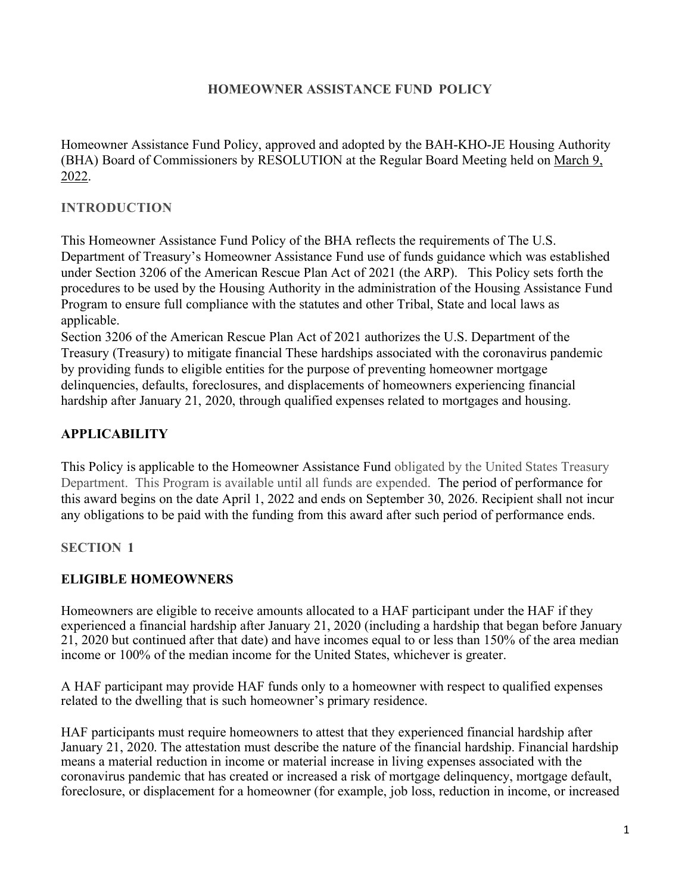#### **HOMEOWNER ASSISTANCE FUND POLICY**

Homeowner Assistance Fund Policy, approved and adopted by the BAH-KHO-JE Housing Authority (BHA) Board of Commissioners by RESOLUTION at the Regular Board Meeting held on March 9, 2022.

#### **INTRODUCTION**

This Homeowner Assistance Fund Policy of the BHA reflects the requirements of The U.S. Department of Treasury's Homeowner Assistance Fund use of funds guidance which was established under Section 3206 of the American Rescue Plan Act of 2021 (the ARP). This Policy sets forth the procedures to be used by the Housing Authority in the administration of the Housing Assistance Fund Program to ensure full compliance with the statutes and other Tribal, State and local laws as applicable.

Section 3206 of the American Rescue Plan Act of 2021 authorizes the U.S. Department of the Treasury (Treasury) to mitigate financial These hardships associated with the coronavirus pandemic by providing funds to eligible entities for the purpose of preventing homeowner mortgage delinquencies, defaults, foreclosures, and displacements of homeowners experiencing financial hardship after January 21, 2020, through qualified expenses related to mortgages and housing.

### **APPLICABILITY**

This Policy is applicable to the Homeowner Assistance Fund obligated by the United States Treasury Department. This Program is available until all funds are expended. The period of performance for this award begins on the date April 1, 2022 and ends on September 30, 2026. Recipient shall not incur any obligations to be paid with the funding from this award after such period of performance ends.

#### **SECTION 1**

#### **ELIGIBLE HOMEOWNERS**

Homeowners are eligible to receive amounts allocated to a HAF participant under the HAF if they experienced a financial hardship after January 21, 2020 (including a hardship that began before January 21, 2020 but continued after that date) and have incomes equal to or less than 150% of the area median income or 100% of the median income for the United States, whichever is greater.

A HAF participant may provide HAF funds only to a homeowner with respect to qualified expenses related to the dwelling that is such homeowner's primary residence.

HAF participants must require homeowners to attest that they experienced financial hardship after January 21, 2020. The attestation must describe the nature of the financial hardship. Financial hardship means a material reduction in income or material increase in living expenses associated with the coronavirus pandemic that has created or increased a risk of mortgage delinquency, mortgage default, foreclosure, or displacement for a homeowner (for example, job loss, reduction in income, or increased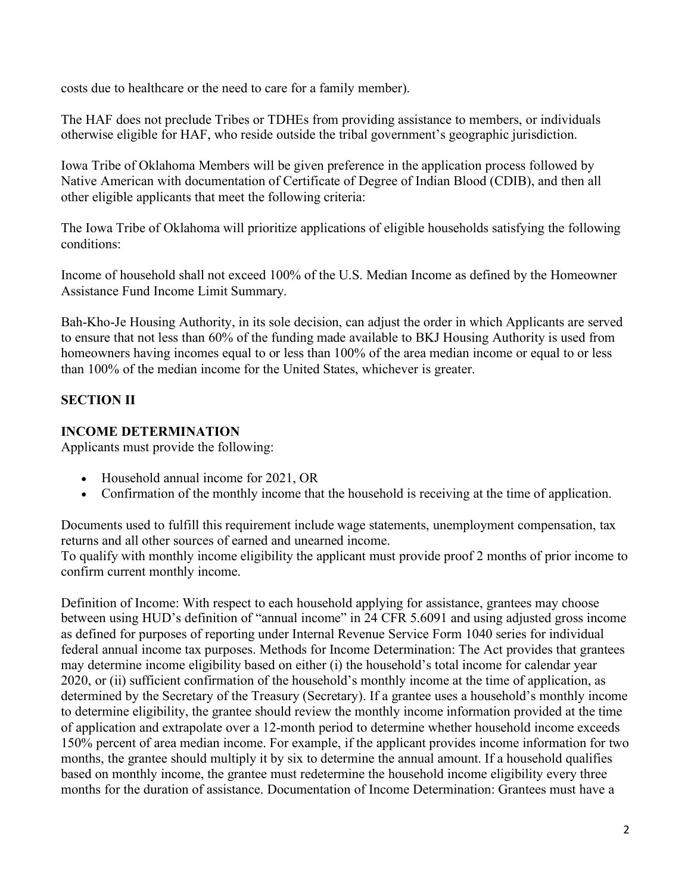costs due to healthcare or the need to care for a family member).

The HAF does not preclude Tribes or TDHEs from providing assistance to members, or individuals otherwise eligible for HAF, who reside outside the tribal government's geographic jurisdiction.

Iowa Tribe of Oklahoma Members will be given preference in the application process followed by Native American with documentation of Certificate of Degree of Indian Blood (CDIB), and then all other eligible applicants that meet the following criteria:

The Iowa Tribe of Oklahoma will prioritize applications of eligible households satisfying the following conditions:

Income of household shall not exceed 100% of the U.S. Median Income as defined by the Homeowner Assistance Fund Income Limit Summary.

Bah-Kho-Je Housing Authority, in its sole decision, can adjust the order in which Applicants are served to ensure that not less than 60% of the funding made available to BKJ Housing Authority is used from homeowners having incomes equal to or less than 100% of the area median income or equal to or less than 100% of the median income for the United States, whichever is greater.

# **SECTION II**

### **INCOME DETERMINATION**

Applicants must provide the following:

- Household annual income for 2021, OR
- Confirmation of the monthly income that the household is receiving at the time of application.

Documents used to fulfill this requirement include wage statements, unemployment compensation, tax returns and all other sources of earned and unearned income.

To qualify with monthly income eligibility the applicant must provide proof 2 months of prior income to confirm current monthly income.

Definition of Income: With respect to each household applying for assistance, grantees may choose between using HUD's definition of "annual income" in 24 CFR 5.6091 and using adjusted gross income as defined for purposes of reporting under Internal Revenue Service Form 1040 series for individual federal annual income tax purposes. Methods for Income Determination: The Act provides that grantees may determine income eligibility based on either (i) the household's total income for calendar year 2020, or (ii) sufficient confirmation of the household's monthly income at the time of application, as determined by the Secretary of the Treasury (Secretary). If a grantee uses a household's monthly income to determine eligibility, the grantee should review the monthly income information provided at the time of application and extrapolate over a 12-month period to determine whether household income exceeds 150% percent of area median income. For example, if the applicant provides income information for two months, the grantee should multiply it by six to determine the annual amount. If a household qualifies based on monthly income, the grantee must redetermine the household income eligibility every three months for the duration of assistance. Documentation of Income Determination: Grantees must have a